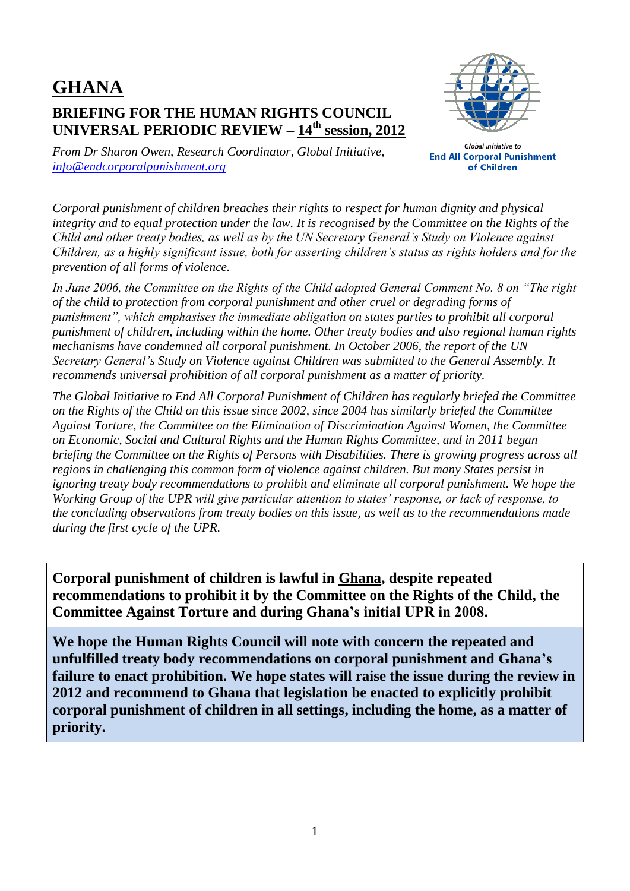## **GHANA BRIEFING FOR THE HUMAN RIGHTS COUNCIL UNIVERSAL PERIODIC REVIEW – 14th session, 2012**



*From Dr Sharon Owen, Research Coordinator, Global Initiative, [info@endcorporalpunishment.org](mailto:info@endcorporalpunishment.org)*

**Global Initiative to End All Corporal Punishment** of Children

*Corporal punishment of children breaches their rights to respect for human dignity and physical integrity and to equal protection under the law. It is recognised by the Committee on the Rights of the Child and other treaty bodies, as well as by the UN Secretary General's Study on Violence against Children, as a highly significant issue, both for asserting children's status as rights holders and for the prevention of all forms of violence.*

*In June 2006, the Committee on the Rights of the Child adopted General Comment No. 8 on "The right of the child to protection from corporal punishment and other cruel or degrading forms of punishment", which emphasises the immediate obligation on states parties to prohibit all corporal punishment of children, including within the home. Other treaty bodies and also regional human rights mechanisms have condemned all corporal punishment. In October 2006, the report of the UN Secretary General's Study on Violence against Children was submitted to the General Assembly. It recommends universal prohibition of all corporal punishment as a matter of priority.*

*The Global Initiative to End All Corporal Punishment of Children has regularly briefed the Committee on the Rights of the Child on this issue since 2002, since 2004 has similarly briefed the Committee Against Torture, the Committee on the Elimination of Discrimination Against Women, the Committee on Economic, Social and Cultural Rights and the Human Rights Committee, and in 2011 began briefing the Committee on the Rights of Persons with Disabilities. There is growing progress across all regions in challenging this common form of violence against children. But many States persist in ignoring treaty body recommendations to prohibit and eliminate all corporal punishment. We hope the Working Group of the UPR will give particular attention to states' response, or lack of response, to the concluding observations from treaty bodies on this issue, as well as to the recommendations made during the first cycle of the UPR.*

**Corporal punishment of children is lawful in Ghana, despite repeated recommendations to prohibit it by the Committee on the Rights of the Child, the Committee Against Torture and during Ghana's initial UPR in 2008.**

**We hope the Human Rights Council will note with concern the repeated and unfulfilled treaty body recommendations on corporal punishment and Ghana's failure to enact prohibition. We hope states will raise the issue during the review in 2012 and recommend to Ghana that legislation be enacted to explicitly prohibit corporal punishment of children in all settings, including the home, as a matter of priority.**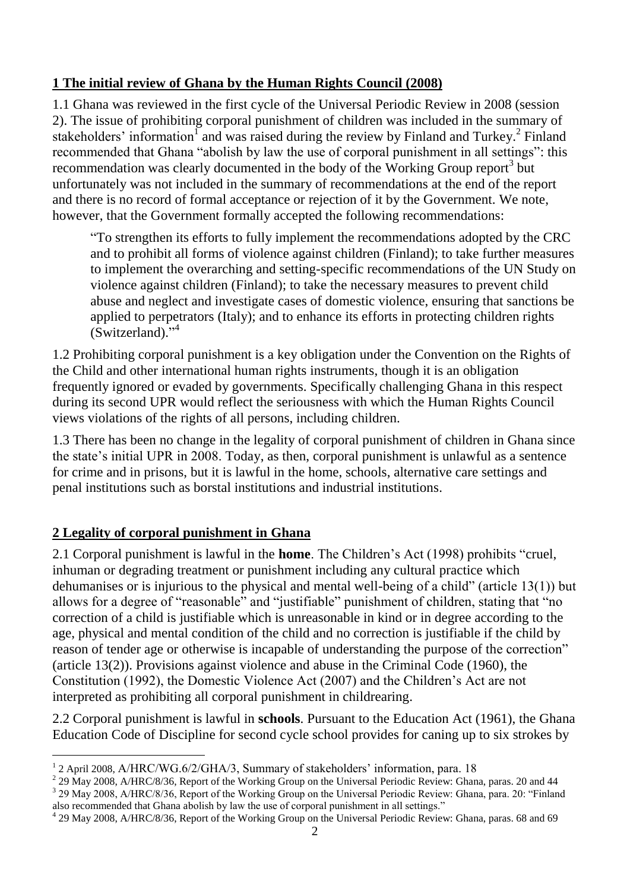## **1 The initial review of Ghana by the Human Rights Council (2008)**

1.1 Ghana was reviewed in the first cycle of the Universal Periodic Review in 2008 (session 2). The issue of prohibiting corporal punishment of children was included in the summary of stakeholders' information<sup>1</sup> and was raised during the review by Finland and Turkey.<sup>2</sup> Finland recommended that Ghana "abolish by law the use of corporal punishment in all settings": this recommendation was clearly documented in the body of the Working Group report<sup>3</sup> but unfortunately was not included in the summary of recommendations at the end of the report and there is no record of formal acceptance or rejection of it by the Government. We note, however, that the Government formally accepted the following recommendations:

"To strengthen its efforts to fully implement the recommendations adopted by the CRC and to prohibit all forms of violence against children (Finland); to take further measures to implement the overarching and setting-specific recommendations of the UN Study on violence against children (Finland); to take the necessary measures to prevent child abuse and neglect and investigate cases of domestic violence, ensuring that sanctions be applied to perpetrators (Italy); and to enhance its efforts in protecting children rights (Switzerland)."<sup>4</sup>

1.2 Prohibiting corporal punishment is a key obligation under the Convention on the Rights of the Child and other international human rights instruments, though it is an obligation frequently ignored or evaded by governments. Specifically challenging Ghana in this respect during its second UPR would reflect the seriousness with which the Human Rights Council views violations of the rights of all persons, including children.

1.3 There has been no change in the legality of corporal punishment of children in Ghana since the state's initial UPR in 2008. Today, as then, corporal punishment is unlawful as a sentence for crime and in prisons, but it is lawful in the home, schools, alternative care settings and penal institutions such as borstal institutions and industrial institutions.

## **2 Legality of corporal punishment in Ghana**

 $\overline{a}$ 

2.1 Corporal punishment is lawful in the **home**. The Children's Act (1998) prohibits "cruel, inhuman or degrading treatment or punishment including any cultural practice which dehumanises or is injurious to the physical and mental well-being of a child" (article 13(1)) but allows for a degree of "reasonable" and "justifiable" punishment of children, stating that "no correction of a child is justifiable which is unreasonable in kind or in degree according to the age, physical and mental condition of the child and no correction is justifiable if the child by reason of tender age or otherwise is incapable of understanding the purpose of the correction" (article 13(2)). Provisions against violence and abuse in the Criminal Code (1960), the Constitution (1992), the Domestic Violence Act (2007) and the Children's Act are not interpreted as prohibiting all corporal punishment in childrearing.

2.2 Corporal punishment is lawful in **schools**. Pursuant to the Education Act (1961), the Ghana Education Code of Discipline for second cycle school provides for caning up to six strokes by

<sup>&</sup>lt;sup>1</sup> 2 April 2008, A/HRC/WG.6/2/GHA/3, Summary of stakeholders' information, para. 18

 $^2$  29 May 2008, A/HRC/8/36, Report of the Working Group on the Universal Periodic Review: Ghana, paras. 20 and 44

<sup>&</sup>lt;sup>3</sup> 29 May 2008, A/HRC/8/36, Report of the Working Group on the Universal Periodic Review: Ghana, para. 20: "Finland also recommended that Ghana abolish by law the use of corporal punishment in all settings."

<sup>&</sup>lt;sup>4</sup> 29 May 2008, A/HRC/8/36, Report of the Working Group on the Universal Periodic Review: Ghana, paras. 68 and 69